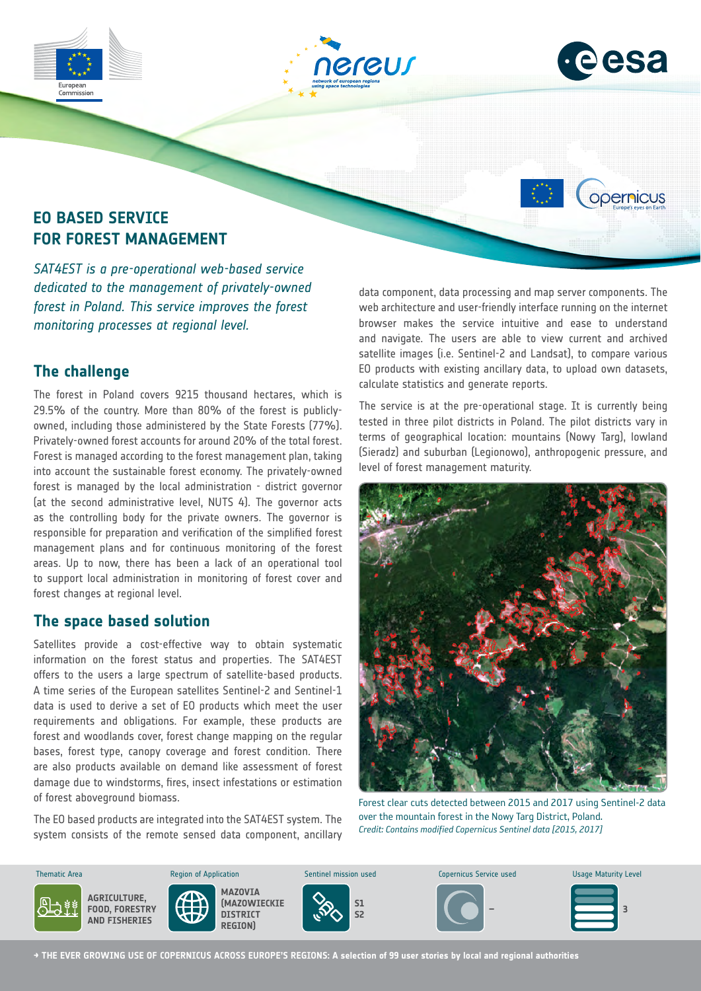





*opernicus* 

## **EO BASED SERVICE FOR FOREST MANAGEMENT**

*SAT4EST is a pre-operational web-based service dedicated to the management of privately-owned forest in Poland. This service improves the forest monitoring processes at regional level.*

## **The challenge**

The forest in Poland covers 9215 thousand hectares, which is 29.5% of the country. More than 80% of the forest is publiclyowned, including those administered by the State Forests (77%). Privately-owned forest accounts for around 20% of the total forest. Forest is managed according to the forest management plan, taking into account the sustainable forest economy. The privately-owned forest is managed by the local administration - district governor (at the second administrative level, NUTS 4). The governor acts as the controlling body for the private owners. The governor is responsible for preparation and verification of the simplified forest management plans and for continuous monitoring of the forest areas. Up to now, there has been a lack of an operational tool to support local administration in monitoring of forest cover and forest changes at regional level.

### **The space based solution**

Satellites provide a cost-effective way to obtain systematic information on the forest status and properties. The SAT4EST offers to the users a large spectrum of satellite-based products. A time series of the European satellites Sentinel-2 and Sentinel-1 data is used to derive a set of EO products which meet the user requirements and obligations. For example, these products are forest and woodlands cover, forest change mapping on the regular bases, forest type, canopy coverage and forest condition. There are also products available on demand like assessment of forest damage due to windstorms, fires, insect infestations or estimation of forest aboveground biomass.

The EO based products are integrated into the SAT4EST system. The system consists of the remote sensed data component, ancillary

data component, data processing and map server components. The web architecture and user-friendly interface running on the internet browser makes the service intuitive and ease to understand and navigate. The users are able to view current and archived satellite images (i.e. Sentinel-2 and Landsat), to compare various EO products with existing ancillary data, to upload own datasets, calculate statistics and generate reports.

The service is at the pre-operational stage. It is currently being tested in three pilot districts in Poland. The pilot districts vary in terms of geographical location: mountains (Nowy Targ), lowland (Sieradz) and suburban (Legionowo), anthropogenic pressure, and level of forest management maturity.



Forest clear cuts detected between 2015 and 2017 using Sentinel-2 data over the mountain forest in the Nowy Targ District, Poland. *Credit: Contains modified Copernicus Sentinel data [2015, 2017]*



**→ THE EVER GROWING USE OF COPERNICUS ACROSS EUROPE'S REGIONS: A selection of 99 user stories by local and regional authorities**